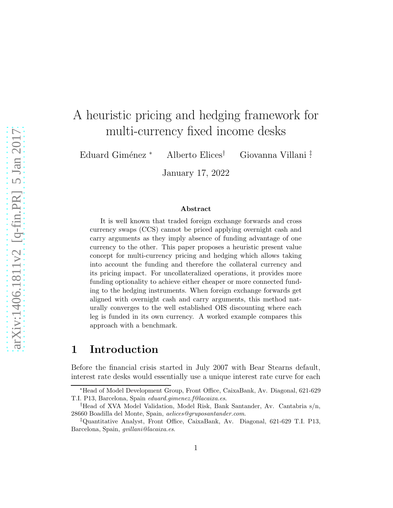# A heuristic pricing and hedging framework for multi-currency fixed income desks

Eduard Giménez \* Alberto Elices<sup>†</sup> Giovanna Villani <del>!</del>

January 17, 2022

#### Abstract

It is well known that traded foreign exchange forwards and cross currency swaps (CCS) cannot be priced applying overnight cash and carry arguments as they imply absence of funding advantage of one currency to the other. This paper proposes a heuristic present value concept for multi-currency pricing and hedging which allows taking into account the funding and therefore the collateral currency and its pricing impact. For uncollateralized operations, it provides more funding optionality to achieve either cheaper or more connected funding to the hedging instruments. When foreign exchange forwards get aligned with overnight cash and carry arguments, this method naturally converges to the well established OIS discounting where each leg is funded in its own currency. A worked example compares this approach with a benchmark.

### 1 Introduction

Before the financial crisis started in July 2007 with Bear Stearns default, interest rate desks would essentially use a unique interest rate curve for each

<sup>∗</sup>Head of Model Development Group, Front Office, CaixaBank, Av. Diagonal, 621-629 T.I. P13, Barcelona, Spain eduard.gimenez.f@lacaixa.es.

<sup>†</sup>Head of XVA Model Validation, Model Risk, Bank Santander, Av. Cantabria s/n, 28660 Boadilla del Monte, Spain, aelices@gruposantander.com.

<sup>‡</sup>Quantitative Analyst, Front Office, CaixaBank, Av. Diagonal, 621-629 T.I. P13, Barcelona, Spain, gvillani@lacaixa.es.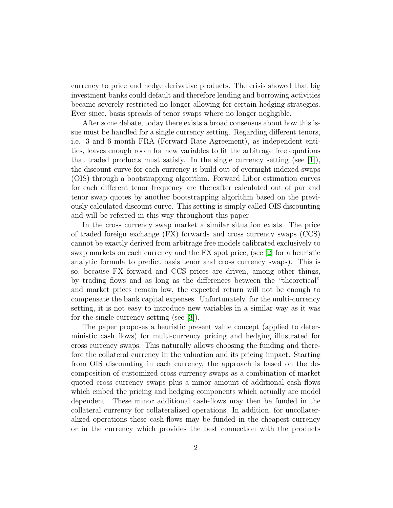currency to price and hedge derivative products. The crisis showed that big investment banks could default and therefore lending and borrowing activities became severely restricted no longer allowing for certain hedging strategies. Ever since, basis spreads of tenor swaps where no longer negligible.

After some debate, today there exists a broad consensus about how this issue must be handled for a single currency setting. Regarding different tenors, i.e. 3 and 6 month FRA (Forward Rate Agreement), as independent entities, leaves enough room for new variables to fit the arbitrage free equations that traded products must satisfy. In the single currency setting (see  $[1]$ ), the discount curve for each currency is build out of overnight indexed swaps (OIS) through a bootstrapping algorithm. Forward Libor estimation curves for each different tenor frequency are thereafter calculated out of par and tenor swap quotes by another bootstrapping algorithm based on the previously calculated discount curve. This setting is simply called OIS discounting and will be referred in this way throughout this paper.

In the cross currency swap market a similar situation exists. The price of traded foreign exchange (FX) forwards and cross currency swaps (CCS) cannot be exactly derived from arbitrage free models calibrated exclusively to swap markets on each currency and the FX spot price, (see [\[2\]](#page-18-1) for a heuristic analytic formula to predict basis tenor and cross currency swaps). This is so, because FX forward and CCS prices are driven, among other things, by trading flows and as long as the differences between the "theoretical" and market prices remain low, the expected return will not be enough to compensate the bank capital expenses. Unfortunately, for the multi-currency setting, it is not easy to introduce new variables in a similar way as it was for the single currency setting (see [\[3\]](#page-18-2)).

The paper proposes a heuristic present value concept (applied to deterministic cash flows) for multi-currency pricing and hedging illustrated for cross currency swaps. This naturally allows choosing the funding and therefore the collateral currency in the valuation and its pricing impact. Starting from OIS discounting in each currency, the approach is based on the decomposition of customized cross currency swaps as a combination of market quoted cross currency swaps plus a minor amount of additional cash flows which embed the pricing and hedging components which actually are model dependent. These minor additional cash-flows may then be funded in the collateral currency for collateralized operations. In addition, for uncollateralized operations these cash-flows may be funded in the cheapest currency or in the currency which provides the best connection with the products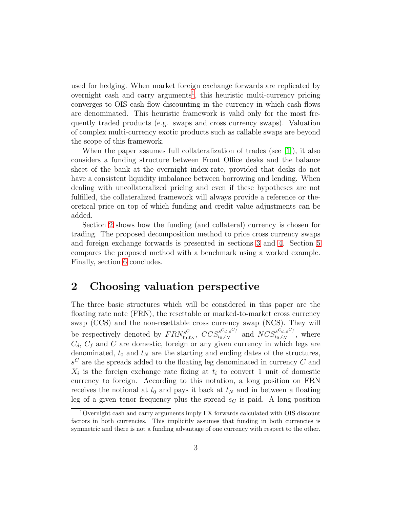used for hedging. When market foreign exchange forwards are replicated by overnight cash and carry arguments<sup>[1](#page-2-0)</sup>, this heuristic multi-currency pricing converges to OIS cash flow discounting in the currency in which cash flows are denominated. This heuristic framework is valid only for the most frequently traded products (e.g. swaps and cross currency swaps). Valuation of complex multi-currency exotic products such as callable swaps are beyond the scope of this framework.

When the paper assumes full collateralization of trades (see [\[1\]](#page-18-0)), it also considers a funding structure between Front Office desks and the balance sheet of the bank at the overnight index-rate, provided that desks do not have a consistent liquidity imbalance between borrowing and lending. When dealing with uncollateralized pricing and even if these hypotheses are not fulfilled, the collateralized framework will always provide a reference or theoretical price on top of which funding and credit value adjustments can be added.

Section [2](#page-2-1) shows how the funding (and collateral) currency is chosen for trading. The proposed decomposition method to price cross currency swaps and foreign exchange forwards is presented in sections [3](#page-8-0) and [4.](#page-10-0) Section [5](#page-13-0) compares the proposed method with a benchmark using a worked example. Finally, section [6](#page-17-0) concludes.

### <span id="page-2-1"></span>2 Choosing valuation perspective

The three basic structures which will be considered in this paper are the floating rate note (FRN), the resettable or marked-to-market cross currency swap (CCS) and the non-resettable cross currency swap (NCS). They will be respectively denoted by  $FRN_{\text{tot}}^{s}$  $\epsilon_{t_0,t_N}^{s^C}, \;CCS^{s^Cd,s^Cf}_{t_0,t_N}$  $_{t_0,t_N}^{sC_{d,s}C_f}$  and  $NCS_{t_0,t_N}^{sC_{d,s}C_f}$  $t_0, t_N$ , where  $C_d$ ,  $C_f$  and C are domestic, foreign or any given currency in which legs are denominated,  $t_0$  and  $t_N$  are the starting and ending dates of the structures,  $s^C$  are the spreads added to the floating leg denominated in currency  $C$  and  $X_i$  is the foreign exchange rate fixing at  $t_i$  to convert 1 unit of domestic currency to foreign. According to this notation, a long position on FRN receives the notional at  $t_0$  and pays it back at  $t_N$  and in between a floating leg of a given tenor frequency plus the spread  $s<sub>C</sub>$  is paid. A long position

<span id="page-2-0"></span><sup>1</sup>Overnight cash and carry arguments imply FX forwards calculated with OIS discount factors in both currencies. This implicitly assumes that funding in both currencies is symmetric and there is not a funding advantage of one currency with respect to the other.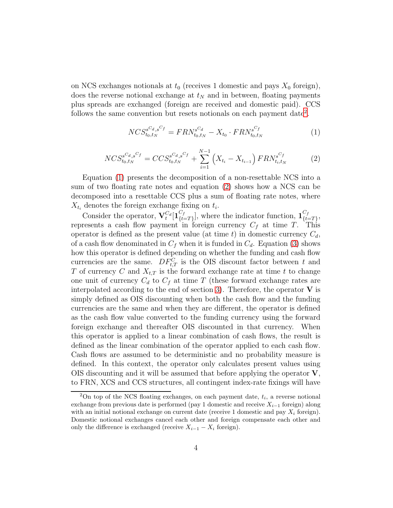on NCS exchanges notionals at  $t_0$  (receives 1 domestic and pays  $X_0$  foreign), does the reverse notional exchange at  $t_N$  and in between, floating payments plus spreads are exchanged (foreign are received and domestic paid). CCS follows the same convention but resets notionals on each payment date<sup>[2](#page-3-0)</sup>.

<span id="page-3-1"></span>
$$
NCS_{t_0,t_N}^{s^{C_d},s^{C_f}} = FRN_{t_0,t_N}^{s^{C_d}} - X_{t_0} \cdot FRN_{t_0,t_N}^{s^{C_f}} \tag{1}
$$

<span id="page-3-2"></span>
$$
NCS_{t_0,t_N}^{s^Cd,s^Cf} = CCS_{t_0,t_N}^{s^Cd,s^Cf} + \sum_{i=1}^{N-1} \left( X_{t_i} - X_{t_{i-1}} \right) FRN_{t_i,t_N}^{s^Cf} \tag{2}
$$

Equation [\(1\)](#page-3-1) presents the decomposition of a non-resettable NCS into a sum of two floating rate notes and equation [\(2\)](#page-3-2) shows how a NCS can be decomposed into a resettable CCS plus a sum of floating rate notes, where  $X_{t_i}$  denotes the foreign exchange fixing on  $t_i$ .

Consider the operator,  $\mathbf{V}_t^{C_d}[\mathbf{1}_{\{t=1}^{C_f}}^{C_f}]$  $_{t=T\}^{C_f}],$  where the indicator function,  $\mathbf{1}_{\{t\}}^{C_f}$  $_{\{t=T\}}^{\mathcal{C}_f},$ represents a cash flow payment in foreign currency  $C_f$  at time T. This operator is defined as the present value (at time t) in domestic currency  $C_d$ , of a cash flow denominated in  $C_f$  when it is funded in  $C_d$ . Equation [\(3\)](#page-4-0) shows how this operator is defined depending on whether the funding and cash flow currencies are the same.  $DF_{t,T}^C$  is the OIS discount factor between t and T of currency C and  $X_{t,T}$  is the forward exchange rate at time t to change one unit of currency  $C_d$  to  $C_f$  at time T (these forward exchange rates are interpolated according to the end of section [3\)](#page-8-0). Therefore, the operator  $V$  is simply defined as OIS discounting when both the cash flow and the funding currencies are the same and when they are different, the operator is defined as the cash flow value converted to the funding currency using the forward foreign exchange and thereafter OIS discounted in that currency. When this operator is applied to a linear combination of cash flows, the result is defined as the linear combination of the operator applied to each cash flow. Cash flows are assumed to be deterministic and no probability measure is defined. In this context, the operator only calculates present values using OIS discounting and it will be assumed that before applying the operator  $V$ , to FRN, XCS and CCS structures, all contingent index-rate fixings will have

<span id="page-3-0"></span> $2$ On top of the NCS floating exchanges, on each payment date,  $t_i$ , a reverse notional exchange from previous date is performed (pay 1 domestic and receive  $X_{i-1}$  foreign) along with an initial notional exchange on current date (receive 1 domestic and pay  $X_i$  foreign). Domestic notional exchanges cancel each other and foreign compensate each other and only the difference is exchanged (receive  $X_{i-1} - X_i$  foreign).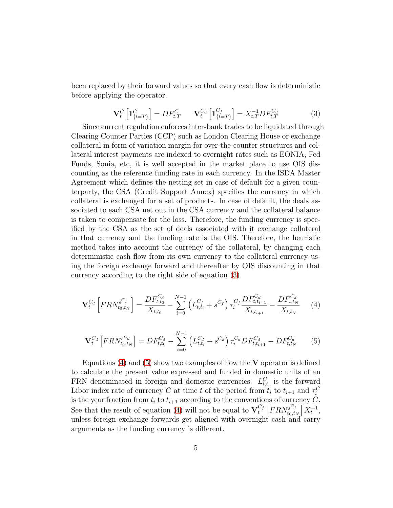been replaced by their forward values so that every cash flow is deterministic before applying the operator.

<span id="page-4-0"></span>
$$
\mathbf{V}_t^C \left[ \mathbf{1}_{\{t=T\}}^C \right] = DF_{t,T}^C \qquad \mathbf{V}_t^{C_d} \left[ \mathbf{1}_{\{t=T\}}^{C_f} \right] = X_{t,T}^{-1} DF_{t,T}^{C_d} \tag{3}
$$

Since current regulation enforces inter-bank trades to be liquidated through Clearing Counter Parties (CCP) such as London Clearing House or exchange collateral in form of variation margin for over-the-counter structures and collateral interest payments are indexed to overnight rates such as EONIA, Fed Funds, Sonia, etc, it is well accepted in the market place to use OIS discounting as the reference funding rate in each currency. In the ISDA Master Agreement which defines the netting set in case of default for a given counterparty, the CSA (Credit Support Annex) specifies the currency in which collateral is exchanged for a set of products. In case of default, the deals associated to each CSA net out in the CSA currency and the collateral balance is taken to compensate for the loss. Therefore, the funding currency is specified by the CSA as the set of deals associated with it exchange collateral in that currency and the funding rate is the OIS. Therefore, the heuristic method takes into account the currency of the collateral, by changing each deterministic cash flow from its own currency to the collateral currency using the foreign exchange forward and thereafter by OIS discounting in that currency according to the right side of equation [\(3\)](#page-4-0).

<span id="page-4-1"></span>
$$
\mathbf{V}_{t}^{C_{d}}\left[FRN_{t_{0},t_{N}}^{s^{C_{f}}}\right] = \frac{DF_{t,t_{0}}^{C_{d}}}{X_{t,t_{0}}} - \sum_{i=0}^{N-1} \left(L_{t,t_{i}}^{C_{f}} + s^{C_{f}}\right) \tau_{i}^{C_{f}} \frac{DF_{t,t_{i+1}}^{C_{d}}}{X_{t,t_{i+1}}} - \frac{DF_{t,t_{N}}^{C_{d}}}{X_{t,t_{N}}} \tag{4}
$$

<span id="page-4-2"></span>
$$
\mathbf{V}_{t}^{C_{d}}\left[FRN_{t_{0},t_{N}}^{s^{C_{d}}}\right] = DF_{t,t_{0}}^{C_{d}} - \sum_{i=0}^{N-1} \left(L_{t,t_{i}}^{C_{d}} + s^{C_{d}}\right)\tau_{i}^{C_{d}}DF_{t,t_{i+1}}^{C_{d}} - DF_{t,t_{N}}^{C_{d}} \tag{5}
$$

Equations [\(4\)](#page-4-1) and [\(5\)](#page-4-2) show two examples of how the  $V$  operator is defined to calculate the present value expressed and funded in domestic units of an FRN denominated in foreign and domestic currencies.  $L_{t,t_i}^C$  is the forward Libor index rate of currency C at time t of the period from  $t_i$  to  $t_{i+1}$  and  $\tau_i^C$ is the year fraction from  $t_i$  to  $t_{i+1}$  according to the conventions of currency C. See that the result of equation [\(4\)](#page-4-1) will not be equal to  $\mathbf{V}_t^{C_f} \left[ FRN_{t_0,t}^{s^C t} \right]$  $\left[ \begin{smallmatrix} s^{C_{f}}\ t_{0},t_{N} \end{smallmatrix} \right] X_{t}^{-1},$ unless foreign exchange forwards get aligned with overnight cash and carry arguments as the funding currency is different.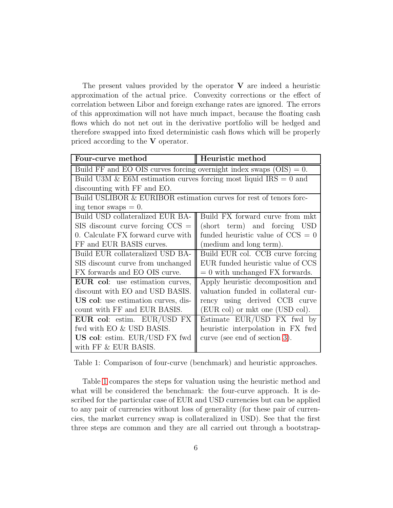The present values provided by the operator  $V$  are indeed a heuristic approximation of the actual price. Convexity corrections or the effect of correlation between Libor and foreign exchange rates are ignored. The errors of this approximation will not have much impact, because the floating cash flows which do not net out in the derivative portfolio will be hedged and therefore swapped into fixed deterministic cash flows which will be properly priced according to the V operator.

| Four-curve method                                                      | Heuristic method                    |  |  |  |  |  |
|------------------------------------------------------------------------|-------------------------------------|--|--|--|--|--|
| Build FF and EO OIS curves forcing overnight index swaps $(OIS) = 0$ . |                                     |  |  |  |  |  |
| Build U3M & E6M estimation curves forcing most liquid $IRS = 0$ and    |                                     |  |  |  |  |  |
| discounting with FF and EO.                                            |                                     |  |  |  |  |  |
| Build USLIBOR & EURIBOR estimation curves for rest of tenors forc-     |                                     |  |  |  |  |  |
| ing tenor swaps $= 0$ .                                                |                                     |  |  |  |  |  |
| Build USD collateralized EUR BA-                                       | Build FX forward curve from mkt     |  |  |  |  |  |
| $SIS$ discount curve forcing $CCS =$                                   | (short term) and forcing USD        |  |  |  |  |  |
| 0. Calculate FX forward curve with                                     | funded heuristic value of $CCS = 0$ |  |  |  |  |  |
| FF and EUR BASIS curves.                                               | (medium and long term).             |  |  |  |  |  |
| Build EUR collateralized USD BA-                                       | Build EUR col. CCB curve forcing    |  |  |  |  |  |
| SIS discount curve from unchanged                                      | EUR funded heuristic value of CCS   |  |  |  |  |  |
| FX forwards and EO OIS curve.                                          | $= 0$ with unchanged FX forwards.   |  |  |  |  |  |
| <b>EUR</b> col: use estimation curves,                                 | Apply heuristic decomposition and   |  |  |  |  |  |
| discount with EO and USD BASIS.                                        | valuation funded in collateral cur- |  |  |  |  |  |
| US col: use estimation curves, dis-                                    | rency using derived CCB curve       |  |  |  |  |  |
| count with FF and EUR BASIS.                                           | (EUR col) or mkt one (USD col).     |  |  |  |  |  |
| EUR col: estim. EUR/USD FX                                             | Estimate EUR/USD FX fwd by          |  |  |  |  |  |
| fwd with EO & USD BASIS.                                               | heuristic interpolation in FX fwd   |  |  |  |  |  |
| US col: estim. EUR/USD FX fwd                                          | curve (see end of section 3).       |  |  |  |  |  |
| with FF & EUR BASIS.                                                   |                                     |  |  |  |  |  |

<span id="page-5-0"></span>Table 1: Comparison of four-curve (benchmark) and heuristic approaches.

Table [1](#page-5-0) compares the steps for valuation using the heuristic method and what will be considered the benchmark: the four-curve approach. It is described for the particular case of EUR and USD currencies but can be applied to any pair of currencies without loss of generality (for these pair of currencies, the market currency swap is collateralized in USD). See that the first three steps are common and they are all carried out through a bootstrap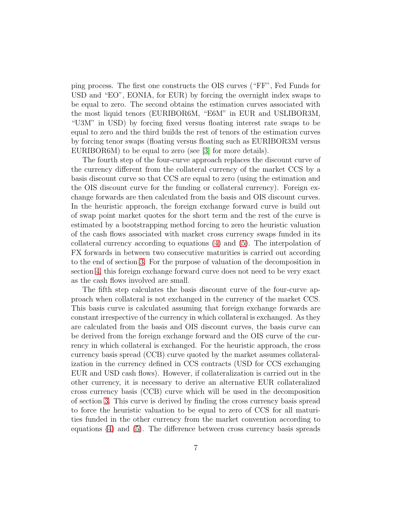ping process. The first one constructs the OIS curves ("FF", Fed Funds for USD and "EO", EONIA, for EUR) by forcing the overnight index swaps to be equal to zero. The second obtains the estimation curves associated with the most liquid tenors (EURIBOR6M, "E6M" in EUR and USLIBOR3M, "U3M" in USD) by forcing fixed versus floating interest rate swaps to be equal to zero and the third builds the rest of tenors of the estimation curves by forcing tenor swaps (floating versus floating such as EURIBOR3M versus EURIBOR6M) to be equal to zero (see [\[3\]](#page-18-2) for more details).

The fourth step of the four-curve approach replaces the discount curve of the currency different from the collateral currency of the market CCS by a basis discount curve so that CCS are equal to zero (using the estimation and the OIS discount curve for the funding or collateral currency). Foreign exchange forwards are then calculated from the basis and OIS discount curves. In the heuristic approach, the foreign exchange forward curve is build out of swap point market quotes for the short term and the rest of the curve is estimated by a bootstrapping method forcing to zero the heuristic valuation of the cash flows associated with market cross currency swaps funded in its collateral currency according to equations [\(4\)](#page-4-1) and [\(5\)](#page-4-2). The interpolation of FX forwards in between two consecutive maturities is carried out according to the end of section [3.](#page-8-0) For the purpose of valuation of the decomposition in section [4,](#page-10-0) this foreign exchange forward curve does not need to be very exact as the cash flows involved are small.

The fifth step calculates the basis discount curve of the four-curve approach when collateral is not exchanged in the currency of the market CCS. This basis curve is calculated assuming that foreign exchange forwards are constant irrespective of the currency in which collateral is exchanged. As they are calculated from the basis and OIS discount curves, the basis curve can be derived from the foreign exchange forward and the OIS curve of the currency in which collateral is exchanged. For the heuristic approach, the cross currency basis spread (CCB) curve quoted by the market assumes collateralization in the currency defined in CCS contracts (USD for CCS exchanging EUR and USD cash flows). However, if collateralization is carried out in the other currency, it is necessary to derive an alternative EUR collateralized cross currency basis (CCB) curve which will be used in the decomposition of section [3.](#page-8-0) This curve is derived by finding the cross currency basis spread to force the heuristic valuation to be equal to zero of CCS for all maturities funded in the other currency from the market convention according to equations [\(4\)](#page-4-1) and [\(5\)](#page-4-2). The difference between cross currency basis spreads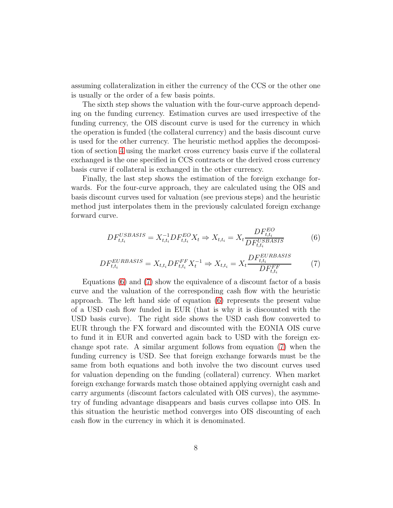assuming collateralization in either the currency of the CCS or the other one is usually or the order of a few basis points.

The sixth step shows the valuation with the four-curve approach depending on the funding currency. Estimation curves are used irrespective of the funding currency, the OIS discount curve is used for the currency in which the operation is funded (the collateral currency) and the basis discount curve is used for the other currency. The heuristic method applies the decomposition of section [4](#page-10-0) using the market cross currency basis curve if the collateral exchanged is the one specified in CCS contracts or the derived cross currency basis curve if collateral is exchanged in the other currency.

Finally, the last step shows the estimation of the foreign exchange forwards. For the four-curve approach, they are calculated using the OIS and basis discount curves used for valuation (see previous steps) and the heuristic method just interpolates them in the previously calculated foreign exchange forward curve.

<span id="page-7-0"></span>
$$
DF_{t,t_i}^{USBASIS} = X_{t,t_i}^{-1} DF_{t,t_i}^{EO} X_t \Rightarrow X_{t,t_i} = X_t \frac{DF_{t,t_i}^{EO}}{DF_{t,t_i}^{USBASIS}}
$$
(6)

<span id="page-7-1"></span>
$$
DF_{t,t_i}^{EURBASIS} = X_{t,t_i} DF_{t,t_i}^{FF} X_t^{-1} \Rightarrow X_{t,t_i} = X_t \frac{DF_{t,t_i}^{EURBASIS}}{DF_{t,t_i}^{FF}} \tag{7}
$$

Equations [\(6\)](#page-7-0) and [\(7\)](#page-7-1) show the equivalence of a discount factor of a basis curve and the valuation of the corresponding cash flow with the heuristic approach. The left hand side of equation [\(6\)](#page-7-0) represents the present value of a USD cash flow funded in EUR (that is why it is discounted with the USD basis curve). The right side shows the USD cash flow converted to EUR through the FX forward and discounted with the EONIA OIS curve to fund it in EUR and converted again back to USD with the foreign exchange spot rate. A similar argument follows from equation [\(7\)](#page-7-1) when the funding currency is USD. See that foreign exchange forwards must be the same from both equations and both involve the two discount curves used for valuation depending on the funding (collateral) currency. When market foreign exchange forwards match those obtained applying overnight cash and carry arguments (discount factors calculated with OIS curves), the asymmetry of funding advantage disappears and basis curves collapse into OIS. In this situation the heuristic method converges into OIS discounting of each cash flow in the currency in which it is denominated.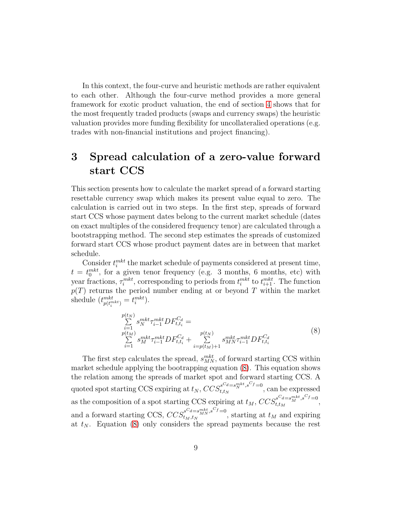In this context, the four-curve and heuristic methods are rather equivalent to each other. Although the four-curve method provides a more general framework for exotic product valuation, the end of section [4](#page-10-0) shows that for the most frequently traded products (swaps and currency swaps) the heuristic valuation provides more funding flexibility for uncollateralied operations (e.g. trades with non-financial institutions and project financing).

## <span id="page-8-0"></span>3 Spread calculation of a zero-value forward start CCS

This section presents how to calculate the market spread of a forward starting resettable currency swap which makes its present value equal to zero. The calculation is carried out in two steps. In the first step, spreads of forward start CCS whose payment dates belong to the current market schedule (dates on exact multiples of the considered frequency tenor) are calculated through a bootstrapping method. The second step estimates the spreads of customized forward start CCS whose product payment dates are in between that market schedule.

Consider  $t_i^{mkt}$  the market schedule of payments considered at present time,  $t = t_0^{mkt}$ , for a given tenor frequency (e.g. 3 months, 6 months, etc) with year fractions,  $\tau_i^{mkt}$ , corresponding to periods from  $t_i^{mkt}$  to  $t_{i+1}^{mkt}$ . The function  $p(T)$  returns the period number ending at or beyond T within the market shedule  $\left(t^{mkt}_{p\left(t^{mkt}_i\right)}=t^{mkt}_i\right)$ .

<span id="page-8-1"></span>
$$
\sum_{i=1}^{p(t_N)} s_N^{mkt} \tau_{i-1}^{mkt} DF_{t,t_i}^{C_d} =
$$
\n
$$
\sum_{i=1}^{p(t_M)} s_M^{mkt} \tau_{i-1}^{mkt} DF_{t,t_i}^{C_d} + \sum_{i=p(t_M)+1}^{p(t_N)} s_{MN}^{mkt} \tau_{i-1}^{mkt} DF_{t,t_i}^{C_d}
$$
\n(8)

The first step calculates the spread,  $s_{MN}^{mkt}$ , of forward starting CCS within market schedule applying the bootrapping equation [\(8\)](#page-8-1). This equation shows the relation among the spreads of market spot and forward starting CCS. A quoted spot starting CCS expiring at  $t_N$ ,  $CCS_{t,t_N}^{sC_d=s_N^{mkt}, sC_f=0}$  $\int_{t,t_N}^{s} e^{-s} s^{-s} ds$ , can be expressed as the composition of a spot starting CCS expiring at  $t_M$ ,  $CCS_{t,t_M}^{sC_d=s_M^{mkt}, sC_f=0}$  $\int_{t,t_M}^{s_u=s_M}$ ,  $\int_{s_u}^{s_u=s_M}$ , and a forward starting CCS,  $CCS_{t_M,t_N}^{S^C d = s_{MN}^{mkt}, s^C f = 0}$  $t_{M,t_N}^{s-a=s_{MN},s}$ , starting at  $t_M$  and expiring at  $t_N$ . Equation [\(8\)](#page-8-1) only considers the spread payments because the rest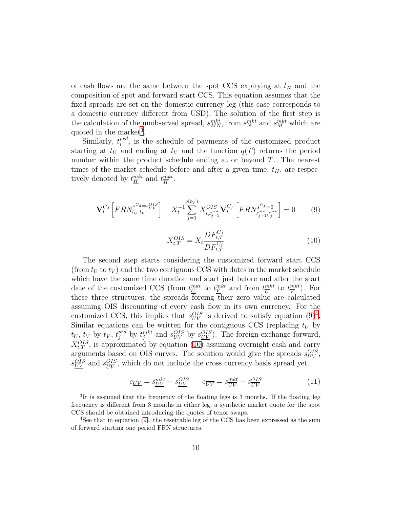of cash flows are the same between the spot CCS expirying at  $t<sub>N</sub>$  and the composition of spot and forward start CCS. This equation assumes that the fixed spreads are set on the domestic currency leg (this case corresponds to a domestic currency different from USD). The solution of the first step is the calculation of the unobserved spread,  $s^{mkt}_{MN}$ , from  $s^{mkt}_{N}$  and  $s^{mkt}_{M}$  which are quoted in the market<sup>[3](#page-9-0)</sup>.

Similarly,  $t_i^{prd}$  $i^{pra}$ , is the schedule of payments of the customized product starting at  $t_U$  and ending at  $t_V$  and the function  $q(T)$  returns the period number within the product schedule ending at or beyond T. The nearest times of the market schedule before and after a given time,  $t_H$ , are respectively denoted by  $t_H^{mkt}$  and  $t_H^{mkt}$  $\frac{mkt}{H}$ .

<span id="page-9-1"></span>
$$
\mathbf{V}_{t}^{C_{d}}\left[FRN_{t_{U},t_{V}}^{s^{C_{d}}=s_{UV}^{OIS}}\right]-X_{t}^{-1}\sum_{j=1}^{q(t_{V})}X_{t,t_{j-1}^{pred}}^{OIS}\mathbf{V}_{t}^{C_{f}}\left[FRN_{t_{j-1}^{pred},t_{j}^{pred}}^{s^{C_{f}}=0}\right]=0
$$
(9)

<span id="page-9-3"></span>
$$
X_{t,T}^{OIS} = X_t \frac{DF_{t,T}^{C_d}}{DF_{t,T}^{C_f}}
$$
\n(10)

The second step starts considering the customized forward start CCS (from  $t_U$  to  $t_V$ ) and the two contiguous CCS with dates in the market schedule which have the same time duration and start just before and after the start date of the customized CCS (from  $t^{mkt}_{\underline{U}}$  to  $t^{mkt}_{\underline{V}}$  and from  $t^{mkt}_{\overline{U}}$  $\frac{mkt}{U}$  to  $t^{mkt}_{\overline{V}}$  $\frac{mkt}{V}$ ). For these three structures, the spreads  $\overline{f}$  forcing their zero value are calculated assuming OIS discounting of every cash flow in its own currency. For the customized CCS, this implies that  $s_{UV}^{OIS}$  is derived to satisfy equation  $(9)^4$  $(9)^4$ . Similar equations can be written for the contiguous CCS (replacing  $t_U$  by  $t_{\underline{U}}, t_V$  by  $t_{\underline{V}}, t_{\underline{j}}^{prd}$  by  $t_{\underline{j}}^{mkt}$  and  $s_{UV}^{OIS}$  by  $s_{\underline{UV}}^{OIS}$ ). The foreign exchange forward,  $X_{t,T}^{OIS}$ , is approximated by equation [\(10\)](#page-9-3) assuming overnight cash and carry arguments based on OIS curves. The solution would give the spreads  $s_{UV}^{OIS}$ ,  $s_{UV}^{OIS}$  and  $s_{UV}^{OIS}$  $\frac{OIS}{UV}$ , which do not include the cross currency basis spread yet.

<span id="page-9-4"></span>
$$
e_{\underline{UV}} = s_{\underline{UV}}^{mkt} - s_{\underline{UV}}^{OIS} \qquad e_{\overline{UV}} = s_{\overline{UV}}^{mkt} - s_{\overline{UV}}^{OIS} \tag{11}
$$

<span id="page-9-0"></span><sup>&</sup>lt;sup>3</sup>It is assumed that the frequency of the floating legs is 3 months. If the floating leg frequency is different from 3 months in either leg, a synthetic market quote for the spot CCS should be obtained introducing the quotes of tenor swaps.

<span id="page-9-2"></span> $4$ See that in equation [\(9\)](#page-9-1), the resettable leg of the CCS has been expressed as the sum of forward starting one period FRN structures.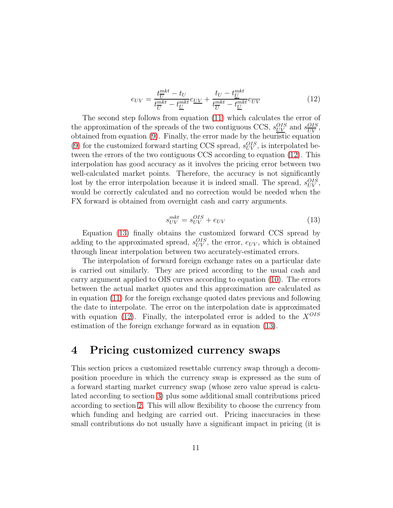<span id="page-10-1"></span>
$$
e_{UV} = \frac{t_{\overline{U}}^{mkt} - t_{U}}{t_{\overline{U}}^{mkt} - t_{\underline{U}}^{mkt}} e_{\underline{UV}} + \frac{t_{U} - t_{\underline{U}}^{mkt}}{t_{\overline{U}}^{mkt} - t_{\underline{U}}^{mkt}} e_{\overline{UV}}
$$
(12)

The second step follows from equation [\(11\)](#page-9-4) which calculates the error of the approximation of the spreads of the two contiguous CCS,  $s_{UV}^{OIS}$  and  $s_{UV}^{OIS}$  $\frac{OIS}{UV},$ obtained from equation [\(9\)](#page-9-1). Finally, the error made by the heuristic equation [\(9\)](#page-9-1) for the customized forward starting CCS spread,  $s_{UV}^{OIS}$ , is interpolated between the errors of the two contiguous CCS according to equation [\(12\)](#page-10-1). This interpolation has good accuracy as it involves the pricing error between two well-calculated market points. Therefore, the accuracy is not significantly lost by the error interpolation because it is indeed small. The spread,  $s_{UV}^{OIS}$ , would be correctly calculated and no correction would be needed when the FX forward is obtained from overnight cash and carry arguments.

<span id="page-10-2"></span>
$$
s_{UV}^{mkt} = s_{UV}^{OIS} + e_{UV}
$$
\n<sup>(13)</sup>

Equation [\(13\)](#page-10-2) finally obtains the customized forward CCS spread by adding to the approximated spread,  $s_{UV}^{OIS}$ , the error,  $e_{UV}$ , which is obtained through linear interpolation between two accurately-estimated errors.

The interpolation of forward foreign exchange rates on a particular date is carried out similarly. They are priced according to the usual cash and carry argument applied to OIS curves according to equation [\(10\)](#page-9-3). The errors between the actual market quotes and this approximation are calculated as in equation [\(11\)](#page-9-4) for the foreign exchange quoted dates previous and following the date to interpolate. The error on the interpolation date is approximated with equation [\(12\)](#page-10-1). Finally, the interpolated error is added to the  $X^{OIS}$ estimation of the foreign exchange forward as in equation [\(13\)](#page-10-2).

### <span id="page-10-0"></span>4 Pricing customized currency swaps

This section prices a customized resettable currency swap through a decomposition procedure in which the currency swap is expressed as the sum of a forward starting market currency swap (whose zero value spread is calculated according to section [3\)](#page-8-0) plus some additional small contributions priced according to section [2.](#page-2-1) This will allow flexibility to choose the currency from which funding and hedging are carried out. Pricing inaccuracies in these small contributions do not usually have a significant impact in pricing (it is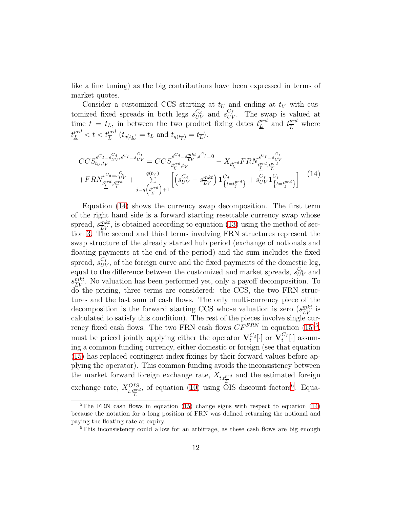like a fine tuning) as the big contributions have been expressed in terms of market quotes.

Consider a customized CCS starting at  $t_U$  and ending at  $t_V$  with customized fixed spreads in both legs  $s_{UV}^{C_d}$  and  $s_{UV}^{C_f}$ . The swap is valued at time  $t = t_L$ , in between the two product fixing dates  $t_L^{prd}$  and  $t_L^{prd}$  $\frac{pr_a}{L}$  where  $t_{\underline{L}}^{prd} < t < t_{\overline{L}}^{prd}$   $(t_{q(t_{\underline{L}})} = t_{\underline{L}}$  and  $t_{q(t_{\overline{L}})} = t_{\overline{L}})$ .

<span id="page-11-0"></span>
$$
CCS_{t_U, t_V}^{s^{C_d} = s_{UV}^{C_d}, s^{C_f} = s_{UV}^{C_f}} = CCS_{t_{U}^{pred}, t_V}^{s^{C_d} = s_{LV}^{mkt}, s^{C_f} = 0} - X_{t_{L}^{pred}} F R N_{t_{L}^{pred}, t_{L}^{pred}}^{s^{C_f} = s_{UV}^{C_f}} + F R N_{t_{L}^{pred}, t_{L}^{pred}}^{s^{C_d} = s_{UV}^{C_d}} + F R N_{t_{L}^{pred}, t_{L}^{pred}}^{s^{C_d} = s_{UV}^{C_d}} + \sum_{j=q \left(t_{L}^{pred}\right)+1}^{q \left(t_V\right)} \left[ \left( s_{UV}^{C_d} - s_{LV}^{mkt} \right) \mathbf{1}_{\left\{t=t_{j}^{pred}\right\}}^{C_d} + s_{UV}^{C_f} \mathbf{1}_{\left\{t=t_{j}^{pred}\right\}}^{C_f} \right] \tag{14}
$$

Equation [\(14\)](#page-11-0) shows the currency swap decomposition. The first term of the right hand side is a forward starting resettable currency swap whose spread,  $s_{\overline{LV}}^{mkt}$ , is obtained according to equation [\(13\)](#page-10-2) using the method of section [3.](#page-8-0) The second and third terms involving FRN structures represent the swap structure of the already started hub period (exchange of notionals and floating payments at the end of the period) and the sum includes the fixed spread,  $s_{UV}^{C_f}$ , of the foreign curve and the fixed payments of the domestic leg, equal to the difference between the customized and market spreads,  $s_{UV}^{C_d}$  and  $s_{\overline{LV}}^{mkt}$ . No valuation has been performed yet, only a payoff decomposition. To do the pricing, three terms are considered: the CCS, the two FRN structures and the last sum of cash flows. The only multi-currency piece of the decomposition is the forward starting CCS whose valuation is zero  $(s_{\overline{LV}}^{mkt}$  is calculated to satisfy this condition). The rest of the pieces involve single currency fixed cash flows. The two FRN cash flows  $CF^{FRN}$  in equation  $(15)^5$  $(15)^5$  $(15)^5$ , must be priced jointly applying either the operator  $\mathbf{V}_{t}^{C_d}[\cdot]$  or  $\mathbf{V}_{t}^{C_f}$  $\int_t^{C_f} [\cdot]$  assuming a common funding currency, either domestic or foreign (see that equation [\(15\)](#page-12-0) has replaced contingent index fixings by their forward values before applying the operator). This common funding avoids the inconsistency between the market forward foreign exchange rate,  $X_{t,t_{\overline{L}}^{prd}}$  and the estimated foreign exchange rate,  $X_{t,t_{\overline{L}}^{prd}}^{OIS}$ , of equation [\(10\)](#page-9-3) using OIS discount factors<sup>[6](#page-11-2)</sup>. Equa-

<span id="page-11-1"></span><sup>&</sup>lt;sup>5</sup>The FRN cash flows in equation [\(15\)](#page-12-0) change signs with respect to equation [\(14\)](#page-11-0) because the notation for a long position of FRN was defined returning the notional and paying the floating rate at expiry.

<span id="page-11-2"></span><sup>&</sup>lt;sup>6</sup>This inconsistency could allow for an arbitrage, as these cash flows are big enough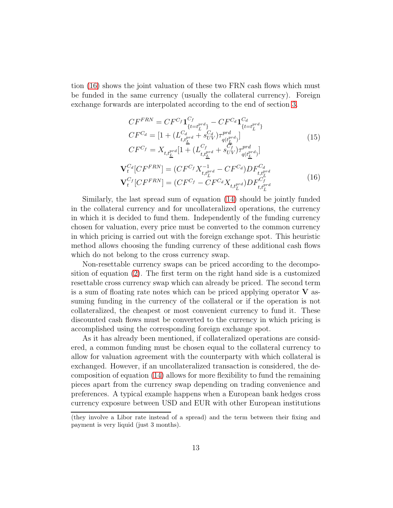tion [\(16\)](#page-12-1) shows the joint valuation of these two FRN cash flows which must be funded in the same currency (usually the collateral currency). Foreign exchange forwards are interpolated according to the end of section [3.](#page-8-0)

<span id="page-12-0"></span>
$$
CF^{FRN} = CF^{C_f} \mathbf{1}_{\{t=t_L^{pred}\}}^{C_f} - CF^{C_d} \mathbf{1}_{\{t=t_L^{pred}\}}^{C_d}
$$
  
\n
$$
CF^{C_d} = [1 + (L_{t,t_L^{pred}}^{C_d} + s_{UV}^{C_d}) \tau_{q(t_L^{pred})}^{pred}]
$$
  
\n
$$
CF^{C_f} = X_{t,t_L^{pred}} [1 + (L_{t,t_L^{pred}}^{C_f} + s_{UV}^{C_f}) \tau_{q(t_L^{pred})}^{pred}]
$$
\n(15)

<span id="page-12-1"></span>
$$
\mathbf{V}_{t}^{C_{d}}[CF^{FRN}] = (CF^{C_{f}}X_{t,t_{\bar{L}}^{pred}}^{-1} - CF^{C_{d}})DF_{t,t_{\bar{L}}^{pred}}^{C_{d}}
$$
\n
$$
\mathbf{V}_{t}^{C_{f}}[CF^{FRN}] = (CF^{C_{f}} - CF^{C_{d}}X_{t,t_{\bar{L}}^{pred}})DF_{t,t_{\bar{L}}^{pred}}^{C_{f}}
$$
\n(16)

Similarly, the last spread sum of equation [\(14\)](#page-11-0) should be jointly funded in the collateral currency and for uncollateralized operations, the currency in which it is decided to fund them. Independently of the funding currency chosen for valuation, every price must be converted to the common currency in which pricing is carried out with the foreign exchange spot. This heuristic method allows choosing the funding currency of these additional cash flows which do not belong to the cross currency swap.

Non-resettable currency swaps can be priced according to the decomposition of equation [\(2\)](#page-3-2). The first term on the right hand side is a customized resettable cross currency swap which can already be priced. The second term is a sum of floating rate notes which can be priced applying operator  $V$  assuming funding in the currency of the collateral or if the operation is not collateralized, the cheapest or most convenient currency to fund it. These discounted cash flows must be converted to the currency in which pricing is accomplished using the corresponding foreign exchange spot.

As it has already been mentioned, if collateralized operations are considered, a common funding must be chosen equal to the collateral currency to allow for valuation agreement with the counterparty with which collateral is exchanged. However, if an uncollateralized transaction is considered, the decomposition of equation [\(14\)](#page-11-0) allows for more flexibility to fund the remaining pieces apart from the currency swap depending on trading convenience and preferences. A typical example happens when a European bank hedges cross currency exposure between USD and EUR with other European institutions

<sup>(</sup>they involve a Libor rate instead of a spread) and the term between their fixing and payment is very liquid (just 3 months).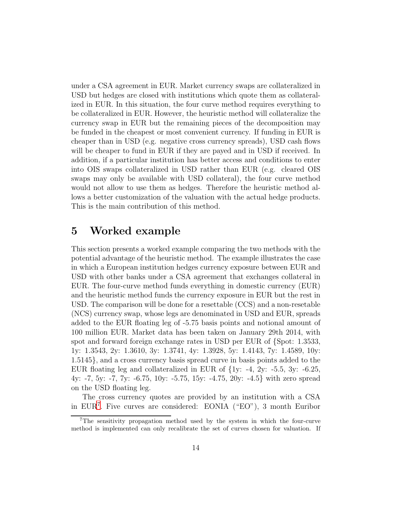under a CSA agreement in EUR. Market currency swaps are collateralized in USD but hedges are closed with institutions which quote them as collateralized in EUR. In this situation, the four curve method requires everything to be collateralized in EUR. However, the heuristic method will collateralize the currency swap in EUR but the remaining pieces of the decomposition may be funded in the cheapest or most convenient currency. If funding in EUR is cheaper than in USD (e.g. negative cross currency spreads), USD cash flows will be cheaper to fund in EUR if they are payed and in USD if received. In addition, if a particular institution has better access and conditions to enter into OIS swaps collateralized in USD rather than EUR (e.g. cleared OIS swaps may only be available with USD collateral), the four curve method would not allow to use them as hedges. Therefore the heuristic method allows a better customization of the valuation with the actual hedge products. This is the main contribution of this method.

### <span id="page-13-0"></span>5 Worked example

This section presents a worked example comparing the two methods with the potential advantage of the heuristic method. The example illustrates the case in which a European institution hedges currency exposure between EUR and USD with other banks under a CSA agreement that exchanges collateral in EUR. The four-curve method funds everything in domestic currency (EUR) and the heuristic method funds the currency exposure in EUR but the rest in USD. The comparison will be done for a resettable (CCS) and a non-resetable (NCS) currency swap, whose legs are denominated in USD and EUR, spreads added to the EUR floating leg of -5.75 basis points and notional amount of 100 million EUR. Market data has been taken on January 29th 2014, with spot and forward foreign exchange rates in USD per EUR of {Spot: 1.3533, 1y: 1.3543, 2y: 1.3610, 3y: 1.3741, 4y: 1.3928, 5y: 1.4143, 7y: 1.4589, 10y: 1.5145}, and a cross currency basis spread curve in basis points added to the EUR floating leg and collateralized in EUR of  $\{1y: -4, 2y: -5.5, 3y: -6.25, ... \}$ 4y: -7, 5y: -7, 7y: -6.75, 10y: -5.75, 15y: -4.75, 20y: -4.5} with zero spread on the USD floating leg.

The cross currency quotes are provided by an institution with a CSA in EUR[7](#page-13-1) . Five curves are considered: EONIA ("EO"), 3 month Euribor

<span id="page-13-1"></span><sup>&</sup>lt;sup>7</sup>The sensitivity propagation method used by the system in which the four-curve method is implemented can only recalibrate the set of curves chosen for valuation. If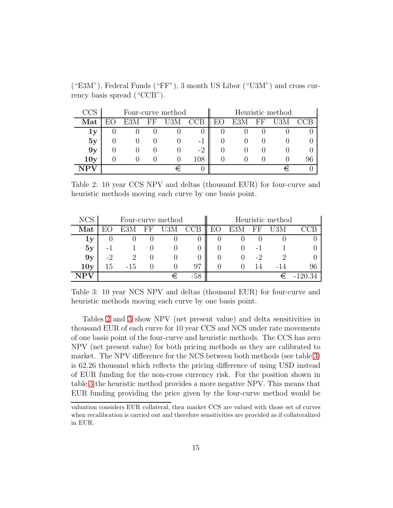|                         | Four-curve method |  |          |     |     | Heuristic method |     |      |  |    |
|-------------------------|-------------------|--|----------|-----|-----|------------------|-----|------|--|----|
| Mat                     |                   |  | 'H<br>Η, | U3M | CCB |                  | E3M | F.F. |  |    |
| $\mathbf{1} \mathbf{y}$ |                   |  |          |     |     |                  |     |      |  |    |
| 5y                      |                   |  |          |     | - 1 |                  |     |      |  |    |
| 9y                      |                   |  |          |     | -2  |                  |     |      |  |    |
| 10y                     |                   |  |          |     | 108 |                  |     |      |  | 96 |
|                         |                   |  |          |     |     |                  |     |      |  |    |

("E3M"), Federal Funds ("FF"), 3 month US Libor ("U3M") and cross currency basis spread ("CCB").

<span id="page-14-0"></span>Table 2: 10 year CCS NPV and deltas (thousand EUR) for four-curve and heuristic methods moving each curve by one basis point.

| NCS                  | Four-curve method |     |    |     |        | Heuristic method |            |          |     |    |
|----------------------|-------------------|-----|----|-----|--------|------------------|------------|----------|-----|----|
| $\operatorname{Mat}$ |                   | E3M | FF | U3M | CCB    | EО               | E3M        | $\rm FF$ | U3M |    |
| 1y                   |                   |     |    |     | O      |                  |            |          |     |    |
| 5y                   |                   |     |    |     |        |                  |            | -        |     |    |
| 9y                   | -2                |     |    |     | $\cup$ |                  |            | -2       |     |    |
| 10y                  | 15                | -15 |    |     | 97     |                  | $^{\circ}$ |          |     | 96 |
|                      |                   |     |    |     | -58    |                  |            |          |     |    |

<span id="page-14-1"></span>Table 3: 10 year NCS NPV and deltas (thousand EUR) for four-curve and heuristic methods moving each curve by one basis point.

Tables [2](#page-14-0) and [3](#page-14-1) show NPV (net present value) and delta sensitivities in thousand EUR of each curve for 10 year CCS and NCS under rate movements of one basis point of the four-curve and heuristic methods. The CCS has zero NPV (net present value) for both pricing methods as they are calibrated to market. The NPV difference for the NCS between both methods (see table [3\)](#page-14-1) is 62.26 thousand which reflects the pricing difference of using USD instead of EUR funding for the non-cross currency risk. For the position shown in table [3](#page-14-1) the heuristic method provides a more negative NPV. This means that EUR funding providing the price given by the four-curve method would be

valuation considers EUR collateral, then market CCS are valued with those set of curves when recalibration is carried out and therefore sensitivities are provided as if collateralized in EUR.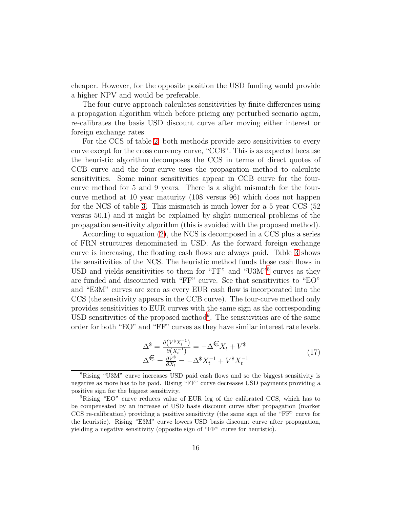cheaper. However, for the opposite position the USD funding would provide a higher NPV and would be preferable.

The four-curve approach calculates sensitivities by finite differences using a propagation algorithm which before pricing any perturbed scenario again, re-calibrates the basis USD discount curve after moving either interest or foreign exchange rates.

For the CCS of table [2,](#page-14-0) both methods provide zero sensitivities to every curve except for the cross currency curve, "CCB". This is as expected because the heuristic algorithm decomposes the CCS in terms of direct quotes of CCB curve and the four-curve uses the propagation method to calculate sensitivities. Some minor sensitivities appear in CCB curve for the fourcurve method for 5 and 9 years. There is a slight mismatch for the fourcurve method at 10 year maturity (108 versus 96) which does not happen for the NCS of table [3.](#page-14-1) This mismatch is much lower for a 5 year CCS (52 versus 50.1) and it might be explained by slight numerical problems of the propagation sensitivity algorithm (this is avoided with the proposed method).

According to equation [\(2\)](#page-3-2), the NCS is decomposed in a CCS plus a series of FRN structures denominated in USD. As the forward foreign exchange curve is increasing, the floating cash flows are always paid. Table [3](#page-14-1) shows the sensitivities of the NCS. The heuristic method funds those cash flows in USD and yields sensitivities to them for "FF" and "U3M"<sup>[8](#page-15-0)</sup> curves as they are funded and discounted with "FF" curve. See that sensitivities to "EO" and "E3M" curves are zero as every EUR cash flow is incorporated into the CCS (the sensitivity appears in the CCB curve). The four-curve method only provides sensitivities to EUR curves with the same sign as the corresponding USD sensitivities of the proposed method<sup>[9](#page-15-1)</sup>. The sensitivities are of the same order for both "EO" and "FF" curves as they have similar interest rate levels.

<span id="page-15-2"></span>
$$
\Delta^{\$} = \frac{\partial (V^{\$} X_t^{-1})}{\partial (X_t^{-1})} = -\Delta^{\bigoplus} X_t + V^{\$}
$$
  

$$
\Delta^{\bigoplus} = \frac{\partial V^{\$}}{\partial X_t} = -\Delta^{\$} X_t^{-1} + V^{\$} X_t^{-1}
$$
 (17)

<span id="page-15-0"></span><sup>8</sup>Rising "U3M" curve increases USD paid cash flows and so the biggest sensitivity is negative as more has to be paid. Rising "FF" curve decreases USD payments providing a positive sign for the biggest sensitivity.

<span id="page-15-1"></span><sup>9</sup>Rising "EO" curve reduces value of EUR leg of the calibrated CCS, which has to be compensated by an increase of USD basis discount curve after propagation (market CCS re-calibration) providing a positive sensitivity (the same sign of the "FF" curve for the heuristic). Rising "E3M" curve lowers USD basis discount curve after propagation, yielding a negative sensitivity (opposite sign of "FF" curve for heuristic).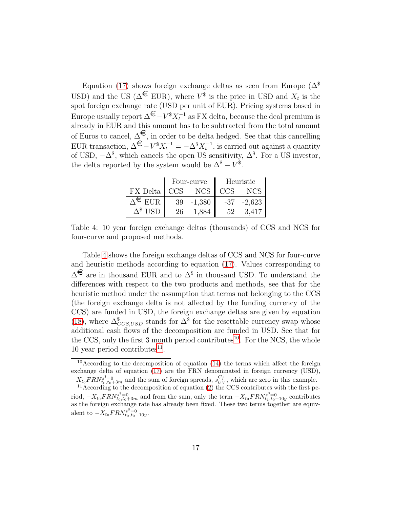Equation [\(17\)](#page-15-2) shows foreign exchange deltas as seen from Europe ( $\Delta^{\$}$ USD) and the US ( $\Delta^{\mathcal{L}}$  EUR), where  $V^{\$}$  is the price in USD and  $X_t$  is the spot foreign exchange rate (USD per unit of EUR). Pricing systems based in Europe usually report  $\Delta^{\epsilon} - V^* X_t^{-1}$  as FX delta, because the deal premium is already in EUR and this amount has to be subtracted from the total amount of Euros to cancel,  $\Delta$ <sup>€</sup>, in order to be delta hedged. See that this cancelling EUR transaction,  $\Delta^{\bigoplus} -V^{\$}X_t^{-1} = -\Delta^{\$}X_t^{-1}$ , is carried out against a quantity of USD,  $-\Delta^{\$}$ , which cancels the open US sensitivity,  $\Delta^{\$}$ . For a US investor, the delta reported by the system would be  $\Delta^{\$} - V^{\$}$ .

|                 |            | Four-curve       | Heuristic |          |  |
|-----------------|------------|------------------|-----------|----------|--|
| FX Delta        | <b>CCS</b> | NCS <sub>1</sub> | CCS       |          |  |
|                 | 39         | $-1,380$         | -37       | $-2.623$ |  |
| $\sqrt{3}$ TIOP |            |                  | 59        |          |  |

<span id="page-16-0"></span>Table 4: 10 year foreign exchange deltas (thousands) of CCS and NCS for four-curve and proposed methods.

Table [4](#page-16-0) shows the foreign exchange deltas of CCS and NCS for four-curve and heuristic methods according to equation [\(17\)](#page-15-2). Values corresponding to  $\Delta^{\epsilon}$  are in thousand EUR and to  $\Delta^{\epsilon}$  in thousand USD. To understand the differences with respect to the two products and methods, see that for the heuristic method under the assumption that terms not belonging to the CCS (the foreign exchange delta is not affected by the funding currency of the CCS) are funded in USD, the foreign exchange deltas are given by equation [\(18\)](#page-17-1), where  $\Delta^{\$}_{CCS,USD}$  stands for  $\Delta^{\$}$  for the resettable currency swap whose additional cash flows of the decomposition are funded in USD. See that for the CCS, only the first 3 month period contributes<sup>[10](#page-16-1)</sup>. For the NCS, the whole 10 year period contributes $^{11}$  $^{11}$  $^{11}$ .

<span id="page-16-1"></span><sup>10</sup>According to the decomposition of equation [\(14\)](#page-11-0) the terms which affect the foreign exchange delta of equation [\(17\)](#page-15-2) are the FRN denominated in foreign currency (USD),  $-X_{t_0}FRN_{t_0,t_0+3m}^{s=0}$  and the sum of foreign spreads,  $s_{UV}^{C_f}$ , which are zero in this example.

<span id="page-16-2"></span> $11$ According to the decomposition of equation [\(2\)](#page-3-2) the CCS contributes with the first period,  $-X_{t_0}FRN_{t_0,t_0+3m}^{s^*}=0$  and from the sum, only the term  $-X_{t_0}FRN_{t_1,t_0+10y}^{s^*}=0$  contributes

as the foreign exchange rate has already been fixed. These two terms together are equivalent to  $-X_{t_0}FRN_{t_0,t_0+10y}^{s=0}$ .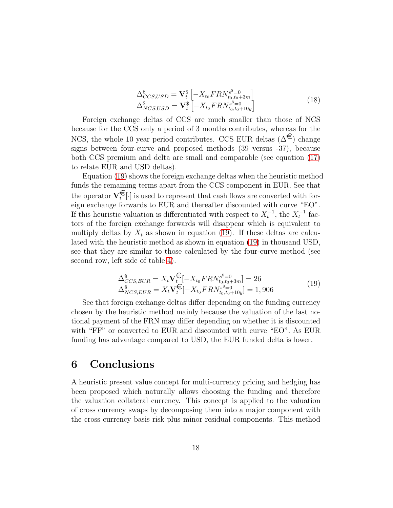<span id="page-17-1"></span>
$$
\Delta_{CCS,USD}^{\$} = \mathbf{V}_{t}^{\$} \left[ -X_{t_{0}} F R N_{t_{0},t_{0}+3m}^{s^{\$} = 0} \right] \n\Delta_{NCS,USD}^{\$} = \mathbf{V}_{t}^{\$} \left[ -X_{t_{0}} F R N_{t_{0},t_{0}+10y}^{s^{\$} = 0} \right]
$$
\n(18)

Foreign exchange deltas of CCS are much smaller than those of NCS because for the CCS only a period of 3 months contributes, whereas for the NCS, the whole 10 year period contributes. CCS EUR deltas ( $\Delta^{\mathbf{\epsilon}}$ ) change signs between four-curve and proposed methods (39 versus -37), because both CCS premium and delta are small and comparable (see equation [\(17\)](#page-15-2) to relate EUR and USD deltas).

Equation [\(19\)](#page-17-2) shows the foreign exchange deltas when the heuristic method funds the remaining terms apart from the CCS component in EUR. See that the operator  $\mathbf{V}_{t}^{\mathbf{\epsilon}}[\cdot]$  is used to represent that cash flows are converted with foreign exchange forwards to EUR and thereafter discounted with curve "EO". If this heuristic valuation is differentiated with respect to  $X_t^{-1}$ , the  $X_t^{-1}$  factors of the foreign exchange forwards will disappear which is equivalent to multiply deltas by  $X_t$  as shown in equation [\(19\)](#page-17-2). If these deltas are calculated with the heuristic method as shown in equation [\(19\)](#page-17-2) in thousand USD, see that they are similar to those calculated by the four-curve method (see second row, left side of table [4\)](#page-16-0).

<span id="page-17-2"></span>
$$
\Delta_{CCS,EUR}^{\$} = X_t \mathbf{V}_t^{\mathbf{\mathbf{\mathbf{\mathbf{\mathbf{\mathbf{\mathbf{\mathbf{C}}}}}}}}[-X_{t_0} F R N_{t_0, t_0 + 3m}^{s^{\$} = 0}] = 26
$$
\n
$$
\Delta_{NCS, EUR}^{\$} = X_t \mathbf{V}_t^{\mathbf{\mathbf{\mathbf{\mathbf{\mathbf{\mathbf{\mathbf{\mathbf{\mathbf{C}}}}}}}}[-X_{t_0} F R N_{t_0, t_0 + 10y}^{s^{\$} = 0}] = 1,906
$$
\n(19)

See that foreign exchange deltas differ depending on the funding currency chosen by the heuristic method mainly because the valuation of the last notional payment of the FRN may differ depending on whether it is discounted with "FF" or converted to EUR and discounted with curve "EO". As EUR funding has advantage compared to USD, the EUR funded delta is lower.

### <span id="page-17-0"></span>6 Conclusions

A heuristic present value concept for multi-currency pricing and hedging has been proposed which naturally allows choosing the funding and therefore the valuation collateral currency. This concept is applied to the valuation of cross currency swaps by decomposing them into a major component with the cross currency basis risk plus minor residual components. This method